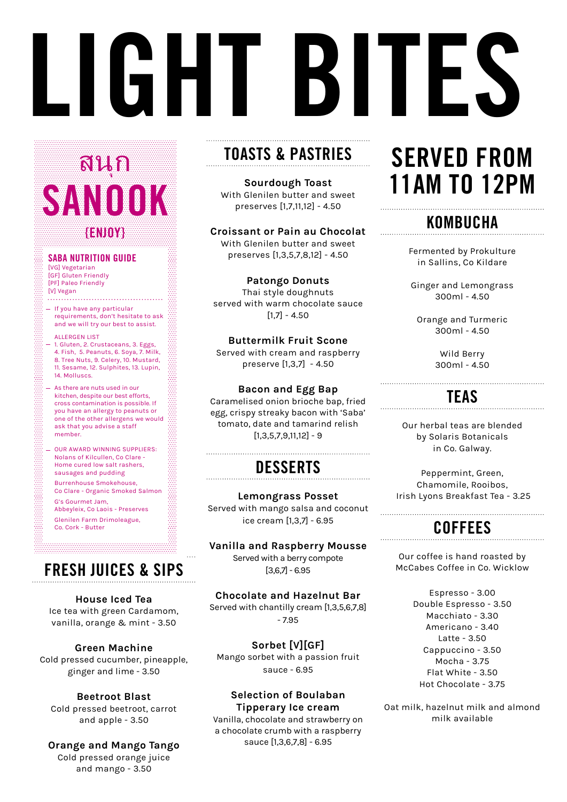# **LIGHT BITES**

# י<br>יובר בין<br>ד **SANO** สนก

#### **{ENJOY}**

#### **SABA NUTRITION GUIDE**

[VG] Vegetarian [GF] Gluten Friendly [PF] Paleo Friendly [V] Vegan . . . . . .

- $-$  If you have any particular requirements, don't hesitate to ask and we will try our best to assist.
- ALLERGEN LIST - 1. Gluten, 2. Crustaceans, 3. Eggs, 4. Fish, 5. Peanuts, 6. Soya, 7. Milk, 8. Tree Nuts, 9. Celery, 10. Mustard, 11. Sesame, 12. Sulphites, 13. Lupin, 14. Molluscs.
- As there are nuts used in our kitchen, despite our best efforts, cross contamination is possible. If you have an allergy to peanuts or one of the other allergens we would ask that you advise a staff member.
- OUR AWARD WINNING SUPPLIERS: Nolans of Kilcullen, Co Clare - Home cured low salt rashers, sausages and pudding
- Burrenhouse Smokehouse, Co Clare - Organic Smoked Salmon
- G's Gourmet Jam,

Abbeyleix, Co Laois - Preserves Glenilen Farm Drimoleague, Co. Cork - Butter

## **FRESH JUICES & SIPS**

#### **House Iced Tea**

Ice tea with green Cardamom, vanilla, orange & mint - 3.50

#### **Green Machine**

Cold pressed cucumber, pineapple, ginger and lime - 3.50

#### **Beetroot Blast**

Cold pressed beetroot, carrot and apple - 3.50

#### **Orange and Mango Tango**

Cold pressed orange juice and mango - 3.50

# **TOASTS & PASTRIES**

**Sourdough Toast** With Glenilen butter and sweet preserves [1,7,11,12] - 4.50

#### **Croissant or Pain au Chocolat**

With Glenilen butter and sweet preserves [1,3,5,7,8,12] - 4.50

#### **Patongo Donuts**

Thai style doughnuts served with warm chocolate sauce  $[1,7] - 4.50$ 

#### **Buttermilk Fruit Scone**  Served with cream and raspberry

preserve [1,3,7] - 4.50

#### **Bacon and Egg Bap**

Caramelised onion brioche bap, fried egg, crispy streaky bacon with 'Saba' tomato, date and tamarind relish  $[1,3,5,7,9,11,12] - 9$ 

#### **DESSERTS**

**Lemongrass Posset**  Served with mango salsa and coconut ice cream [1,3,7] - 6.95

#### **Vanilla and Raspberry Mousse**

Served with a berry compote  $[3,6,7] - 6.95$ 

#### **Chocolate and Hazelnut Bar** Served with chantilly cream [1,3,5,6,7,8]

- 7.95

#### **Sorbet [V][GF]**

Mango sorbet with a passion fruit sauce - 6.95

#### **Selection of Boulaban Tipperary Ice cream**

Vanilla, chocolate and strawberry on a chocolate crumb with a raspberry sauce [1,3,6,7,8] - 6.95

# **SERVED FROM 11AM TO 12PM**

## **KOMBUCHA**

Fermented by Prokulture in Sallins, Co Kildare

Ginger and Lemongrass 300ml - 4.50

Orange and Turmeric 300ml - 4.50

> Wild Berry 300ml - 4.50

# **TEAS**

Our herbal teas are blended by Solaris Botanicals in Co. Galway.

Peppermint, Green, Chamomile, Rooibos, Irish Lyons Breakfast Tea - 3.25

### **COFFEES**

Our coffee is hand roasted by McCabes Coffee in Co. Wicklow

> Espresso - 3.00 Double Espresso - 3.50 Macchiato - 3.30 Americano - 3.40 Latte - 3.50 Cappuccino - 3.50 Mocha - 3.75 Flat White - 3.50 Hot Chocolate - 3.75

Oat milk, hazelnut milk and almond milk available